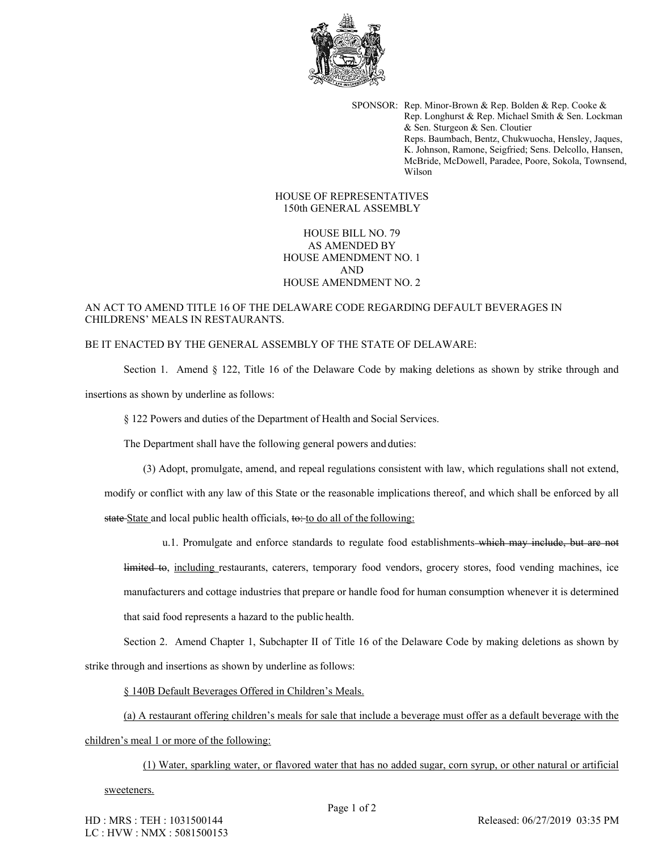

SPONSOR: Rep. Minor-Brown & Rep. Bolden & Rep. Cooke & Rep. Longhurst & Rep. Michael Smith & Sen. Lockman & Sen. Sturgeon & Sen. Cloutier Reps. Baumbach, Bentz, Chukwuocha, Hensley, Jaques, K. Johnson, Ramone, Seigfried; Sens. Delcollo, Hansen, McBride, McDowell, Paradee, Poore, Sokola, Townsend, Wilson

HOUSE OF REPRESENTATIVES 150th GENERAL ASSEMBLY

HOUSE BILL NO. 79 AS AMENDED BY HOUSE AMENDMENT NO. 1 AND HOUSE AMENDMENT NO. 2

## AN ACT TO AMEND TITLE 16 OF THE DELAWARE CODE REGARDING DEFAULT BEVERAGES IN CHILDRENS' MEALS IN RESTAURANTS.

## BE IT ENACTED BY THE GENERAL ASSEMBLY OF THE STATE OF DELAWARE:

Section 1. Amend § 122, Title 16 of the Delaware Code by making deletions as shown by strike through and insertions as shown by underline as follows:

§ 122 Powers and duties of the Department of Health and Social Services.

The Department shall have the following general powers and duties:

(3) Adopt, promulgate, amend, and repeal regulations consistent with law, which regulations shall not extend,

modify or conflict with any law of this State or the reasonable implications thereof, and which shall be enforced by all

state State and local public health officials, to: to do all of the following:

u.1. Promulgate and enforce standards to regulate food establishments which may include, but are not

limited to, including restaurants, caterers, temporary food vendors, grocery stores, food vending machines, ice manufacturers and cottage industries that prepare or handle food for human consumption whenever it is determined that said food represents a hazard to the public health.

Section 2. Amend Chapter 1, Subchapter II of Title 16 of the Delaware Code by making deletions as shown by strike through and insertions as shown by underline as follows:

§ 140B Default Beverages Offered in Children's Meals.

(a) A restaurant offering children's meals for sale that include a beverage must offer as a default beverage with the

children's meal 1 or more of the following:

(1) Water, sparkling water, or flavored water that has no added sugar, corn syrup, or other natural or artificial

## sweeteners.